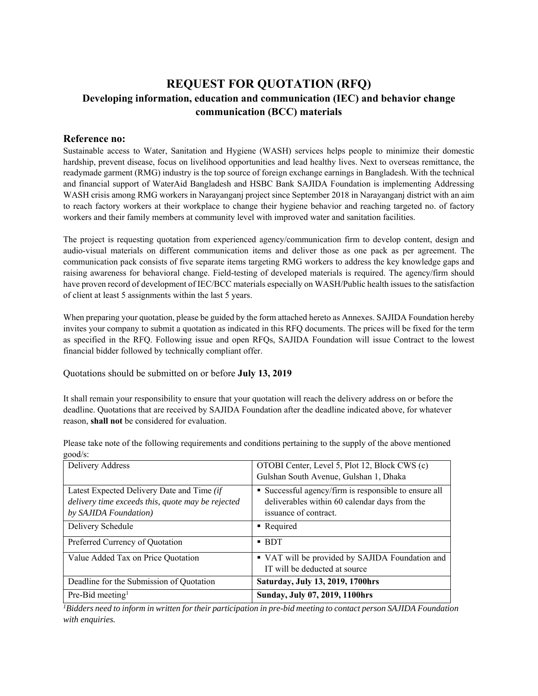# **REQUEST FOR QUOTATION (RFQ) Developing information, education and communication (IEC) and behavior change communication (BCC) materials**

### **Reference no:**

Sustainable access to Water, Sanitation and Hygiene (WASH) services helps people to minimize their domestic hardship, prevent disease, focus on livelihood opportunities and lead healthy lives. Next to overseas remittance, the readymade garment (RMG) industry is the top source of foreign exchange earnings in Bangladesh. With the technical and financial support of WaterAid Bangladesh and HSBC Bank SAJIDA Foundation is implementing Addressing WASH crisis among RMG workers in Narayanganj project since September 2018 in Narayanganj district with an aim to reach factory workers at their workplace to change their hygiene behavior and reaching targeted no. of factory workers and their family members at community level with improved water and sanitation facilities.

The project is requesting quotation from experienced agency/communication firm to develop content, design and audio-visual materials on different communication items and deliver those as one pack as per agreement. The communication pack consists of five separate items targeting RMG workers to address the key knowledge gaps and raising awareness for behavioral change. Field-testing of developed materials is required. The agency/firm should have proven record of development of IEC/BCC materials especially on WASH/Public health issues to the satisfaction of client at least 5 assignments within the last 5 years.

When preparing your quotation, please be guided by the form attached hereto as Annexes. SAJIDA Foundation hereby invites your company to submit a quotation as indicated in this RFQ documents. The prices will be fixed for the term as specified in the RFQ. Following issue and open RFQs, SAJIDA Foundation will issue Contract to the lowest financial bidder followed by technically compliant offer.

Quotations should be submitted on or before **July 13, 2019** 

It shall remain your responsibility to ensure that your quotation will reach the delivery address on or before the deadline. Quotations that are received by SAJIDA Foundation after the deadline indicated above, for whatever reason, **shall not** be considered for evaluation.

Please take note of the following requirements and conditions pertaining to the supply of the above mentioned good/s:

| c<br>Delivery Address                                                                                                    | OTOBI Center, Level 5, Plot 12, Block CWS (c)<br>Gulshan South Avenue, Gulshan 1, Dhaka                                         |
|--------------------------------------------------------------------------------------------------------------------------|---------------------------------------------------------------------------------------------------------------------------------|
| Latest Expected Delivery Date and Time (if<br>delivery time exceeds this, quote may be rejected<br>by SAJIDA Foundation) | • Successful agency/firm is responsible to ensure all<br>deliverables within 60 calendar days from the<br>issuance of contract. |
| Delivery Schedule                                                                                                        | $\blacksquare$ Required                                                                                                         |
| Preferred Currency of Quotation                                                                                          | $\blacksquare$ BDT                                                                                                              |
| Value Added Tax on Price Quotation                                                                                       | • VAT will be provided by SAJIDA Foundation and<br>IT will be deducted at source                                                |
| Deadline for the Submission of Quotation                                                                                 | Saturday, July 13, 2019, 1700hrs                                                                                                |
| $Pre-Bid$ meeting <sup>1</sup>                                                                                           | Sunday, July 07, 2019, 1100hrs                                                                                                  |

*1 Bidders need to inform in written for their participation in pre-bid meeting to contact person SAJIDA Foundation with enquiries.*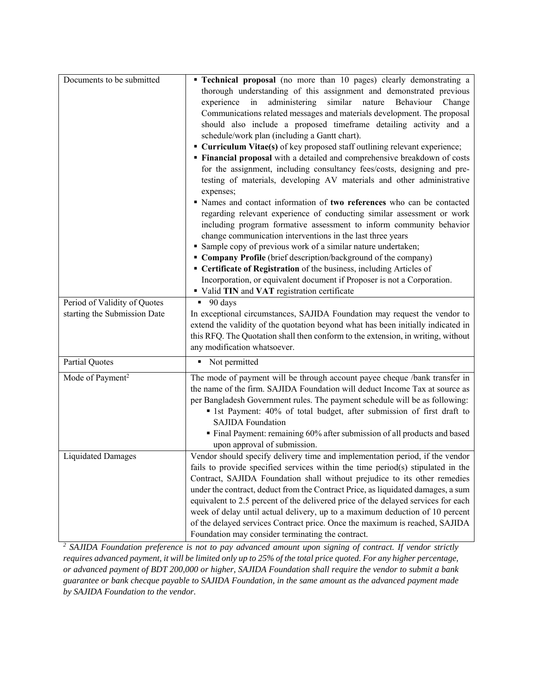| Documents to be submitted    | <b>Technical proposal</b> (no more than 10 pages) clearly demonstrating a<br>thorough understanding of this assignment and demonstrated previous<br>administering<br>similar<br>nature<br>experience<br>in<br>Behaviour<br>Change<br>Communications related messages and materials development. The proposal<br>should also include a proposed timeframe detailing activity and a<br>schedule/work plan (including a Gantt chart).<br>• Curriculum Vitae(s) of key proposed staff outlining relevant experience;<br>" Financial proposal with a detailed and comprehensive breakdown of costs<br>for the assignment, including consultancy fees/costs, designing and pre-<br>testing of materials, developing AV materials and other administrative<br>expenses;<br>" Names and contact information of two references who can be contacted<br>regarding relevant experience of conducting similar assessment or work<br>including program formative assessment to inform community behavior<br>change communication interventions in the last three years<br>• Sample copy of previous work of a similar nature undertaken;<br>• Company Profile (brief description/background of the company)<br>• Certificate of Registration of the business, including Articles of<br>Incorporation, or equivalent document if Proposer is not a Corporation.<br>• Valid TIN and VAT registration certificate |
|------------------------------|---------------------------------------------------------------------------------------------------------------------------------------------------------------------------------------------------------------------------------------------------------------------------------------------------------------------------------------------------------------------------------------------------------------------------------------------------------------------------------------------------------------------------------------------------------------------------------------------------------------------------------------------------------------------------------------------------------------------------------------------------------------------------------------------------------------------------------------------------------------------------------------------------------------------------------------------------------------------------------------------------------------------------------------------------------------------------------------------------------------------------------------------------------------------------------------------------------------------------------------------------------------------------------------------------------------------------------------------------------------------------------------------------|
| Period of Validity of Quotes | $\blacksquare$ 90 days                                                                                                                                                                                                                                                                                                                                                                                                                                                                                                                                                                                                                                                                                                                                                                                                                                                                                                                                                                                                                                                                                                                                                                                                                                                                                                                                                                            |
| starting the Submission Date | In exceptional circumstances, SAJIDA Foundation may request the vendor to<br>extend the validity of the quotation beyond what has been initially indicated in<br>this RFQ. The Quotation shall then conform to the extension, in writing, without<br>any modification whatsoever.                                                                                                                                                                                                                                                                                                                                                                                                                                                                                                                                                                                                                                                                                                                                                                                                                                                                                                                                                                                                                                                                                                                 |
| <b>Partial Quotes</b>        | Not permitted<br>٠                                                                                                                                                                                                                                                                                                                                                                                                                                                                                                                                                                                                                                                                                                                                                                                                                                                                                                                                                                                                                                                                                                                                                                                                                                                                                                                                                                                |
| Mode of Payment <sup>2</sup> | The mode of payment will be through account payee cheque /bank transfer in<br>the name of the firm. SAJIDA Foundation will deduct Income Tax at source as<br>per Bangladesh Government rules. The payment schedule will be as following:<br>Ist Payment: 40% of total budget, after submission of first draft to<br><b>SAJIDA Foundation</b><br>Final Payment: remaining 60% after submission of all products and based<br>upon approval of submission.                                                                                                                                                                                                                                                                                                                                                                                                                                                                                                                                                                                                                                                                                                                                                                                                                                                                                                                                           |
| <b>Liquidated Damages</b>    | Vendor should specify delivery time and implementation period, if the vendor<br>fails to provide specified services within the time period(s) stipulated in the<br>Contract, SAJIDA Foundation shall without prejudice to its other remedies<br>under the contract, deduct from the Contract Price, as liquidated damages, a sum<br>equivalent to 2.5 percent of the delivered price of the delayed services for each<br>week of delay until actual delivery, up to a maximum deduction of 10 percent<br>of the delayed services Contract price. Once the maximum is reached, SAJIDA<br>Foundation may consider terminating the contract.                                                                                                                                                                                                                                                                                                                                                                                                                                                                                                                                                                                                                                                                                                                                                         |

<sup>2</sup> SAJIDA Foundation preference is not to pay advanced amount upon signing of contract. If vendor strictly *requires advanced payment, it will be limited only up to 25% of the total price quoted. For any higher percentage, or advanced payment of BDT 200,000 or higher, SAJIDA Foundation shall require the vendor to submit a bank guarantee or bank checque payable to SAJIDA Foundation, in the same amount as the advanced payment made by SAJIDA Foundation to the vendor.*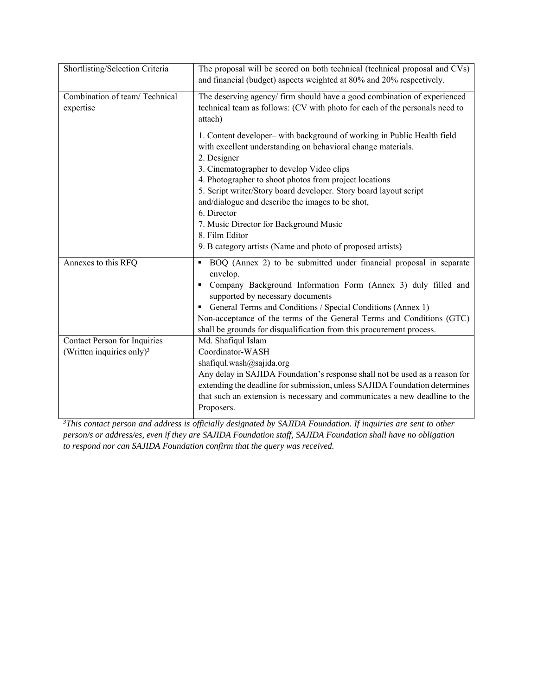| Shortlisting/Selection Criteria            | The proposal will be scored on both technical (technical proposal and CVs)<br>and financial (budget) aspects weighted at 80% and 20% respectively.                                                                                                           |
|--------------------------------------------|--------------------------------------------------------------------------------------------------------------------------------------------------------------------------------------------------------------------------------------------------------------|
| Combination of team/Technical<br>expertise | The deserving agency/ firm should have a good combination of experienced<br>technical team as follows: (CV with photo for each of the personals need to<br>attach)                                                                                           |
|                                            | 1. Content developer-with background of working in Public Health field<br>with excellent understanding on behavioral change materials.<br>2. Designer<br>3. Cinematographer to develop Video clips<br>4. Photographer to shoot photos from project locations |
|                                            | 5. Script writer/Story board developer. Story board layout script<br>and/dialogue and describe the images to be shot,<br>6. Director                                                                                                                         |
|                                            | 7. Music Director for Background Music<br>8. Film Editor                                                                                                                                                                                                     |
|                                            | 9. B category artists (Name and photo of proposed artists)                                                                                                                                                                                                   |
| Annexes to this RFQ                        | BOQ (Annex 2) to be submitted under financial proposal in separate<br>٠<br>envelop.                                                                                                                                                                          |
|                                            | Company Background Information Form (Annex 3) duly filled and<br>supported by necessary documents                                                                                                                                                            |
|                                            | General Terms and Conditions / Special Conditions (Annex 1)                                                                                                                                                                                                  |
|                                            | Non-acceptance of the terms of the General Terms and Conditions (GTC)                                                                                                                                                                                        |
| Contact Person for Inquiries               | shall be grounds for disqualification from this procurement process.<br>Md. Shafiqul Islam                                                                                                                                                                   |
| (Written inquiries only) $3$               | Coordinator-WASH                                                                                                                                                                                                                                             |
|                                            | shafiqul.wash@sajida.org                                                                                                                                                                                                                                     |
|                                            | Any delay in SAJIDA Foundation's response shall not be used as a reason for                                                                                                                                                                                  |
|                                            | extending the deadline for submission, unless SAJIDA Foundation determines<br>that such an extension is necessary and communicates a new deadline to the                                                                                                     |
|                                            | Proposers.                                                                                                                                                                                                                                                   |

*3 This contact person and address is officially designated by SAJIDA Foundation. If inquiries are sent to other person/s or address/es, even if they are SAJIDA Foundation staff, SAJIDA Foundation shall have no obligation to respond nor can SAJIDA Foundation confirm that the query was received.*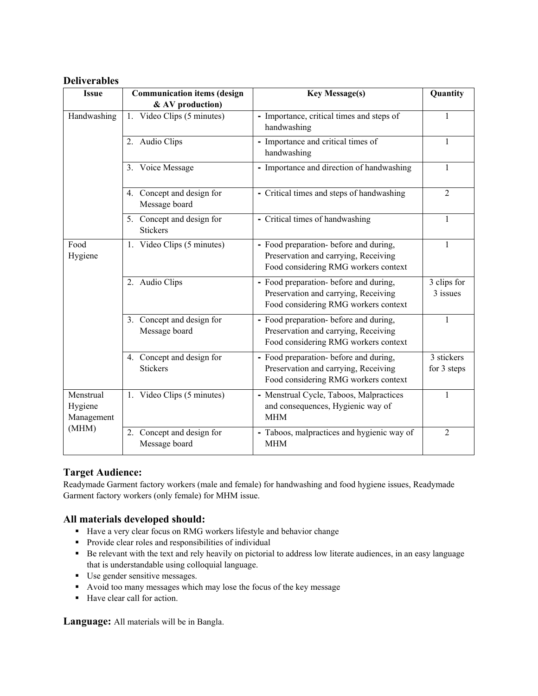## **Deliverables**

| <b>Issue</b>                       | <b>Communication items (design</b>             | <b>Key Message(s)</b>                                                                                                  | Quantity                  |
|------------------------------------|------------------------------------------------|------------------------------------------------------------------------------------------------------------------------|---------------------------|
| Handwashing                        | & AV production)<br>1. Video Clips (5 minutes) | - Importance, critical times and steps of<br>handwashing                                                               | 1                         |
|                                    | 2. Audio Clips                                 | - Importance and critical times of<br>handwashing                                                                      | $\mathbf{1}$              |
|                                    | 3. Voice Message                               | - Importance and direction of handwashing                                                                              | $\mathbf{1}$              |
|                                    | 4. Concept and design for<br>Message board     | - Critical times and steps of handwashing                                                                              | $\overline{2}$            |
|                                    | 5. Concept and design for<br><b>Stickers</b>   | - Critical times of handwashing                                                                                        | 1                         |
| Food<br>Hygiene                    | 1. Video Clips (5 minutes)                     | - Food preparation- before and during,<br>Preservation and carrying, Receiving<br>Food considering RMG workers context | $\mathbf{1}$              |
|                                    | 2. Audio Clips                                 | - Food preparation- before and during,<br>Preservation and carrying, Receiving<br>Food considering RMG workers context | 3 clips for<br>3 issues   |
|                                    | 3. Concept and design for<br>Message board     | - Food preparation- before and during,<br>Preservation and carrying, Receiving<br>Food considering RMG workers context | $\mathbf{1}$              |
|                                    | 4. Concept and design for<br><b>Stickers</b>   | - Food preparation- before and during,<br>Preservation and carrying, Receiving<br>Food considering RMG workers context | 3 stickers<br>for 3 steps |
| Menstrual<br>Hygiene<br>Management | 1. Video Clips (5 minutes)                     | - Menstrual Cycle, Taboos, Malpractices<br>and consequences, Hygienic way of<br><b>MHM</b>                             | $\mathbf{1}$              |
| (MHM)                              | 2. Concept and design for<br>Message board     | - Taboos, malpractices and hygienic way of<br><b>MHM</b>                                                               | $\overline{2}$            |

## **Target Audience:**

Readymade Garment factory workers (male and female) for handwashing and food hygiene issues, Readymade Garment factory workers (only female) for MHM issue.

## **All materials developed should:**

- Have a very clear focus on RMG workers lifestyle and behavior change
- **Provide clear roles and responsibilities of individual**
- Be relevant with the text and rely heavily on pictorial to address low literate audiences, in an easy language that is understandable using colloquial language.
- Use gender sensitive messages.
- Avoid too many messages which may lose the focus of the key message
- Have clear call for action.

**Language:** All materials will be in Bangla.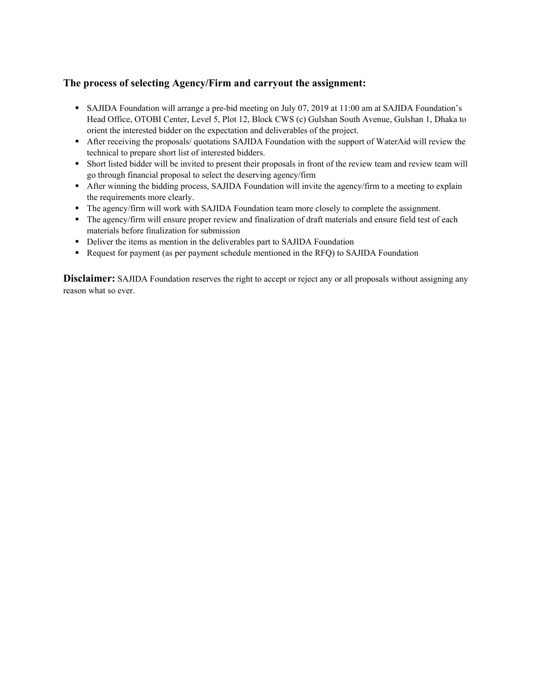## **The process of selecting Agency/Firm and carryout the assignment:**

- SAJIDA Foundation will arrange a pre-bid meeting on July 07, 2019 at 11:00 am at SAJIDA Foundation's Head Office, OTOBI Center, Level 5, Plot 12, Block CWS (c) Gulshan South Avenue, Gulshan 1, Dhaka to orient the interested bidder on the expectation and deliverables of the project.
- After receiving the proposals/ quotations SAJIDA Foundation with the support of WaterAid will review the technical to prepare short list of interested bidders.
- Short listed bidder will be invited to present their proposals in front of the review team and review team will go through financial proposal to select the deserving agency/firm
- After winning the bidding process, SAJIDA Foundation will invite the agency/firm to a meeting to explain the requirements more clearly.
- The agency/firm will work with SAJIDA Foundation team more closely to complete the assignment.
- The agency/firm will ensure proper review and finalization of draft materials and ensure field test of each materials before finalization for submission
- Deliver the items as mention in the deliverables part to SAJIDA Foundation
- Request for payment (as per payment schedule mentioned in the RFQ) to SAJIDA Foundation

**Disclaimer:** SAJIDA Foundation reserves the right to accept or reject any or all proposals without assigning any reason what so ever.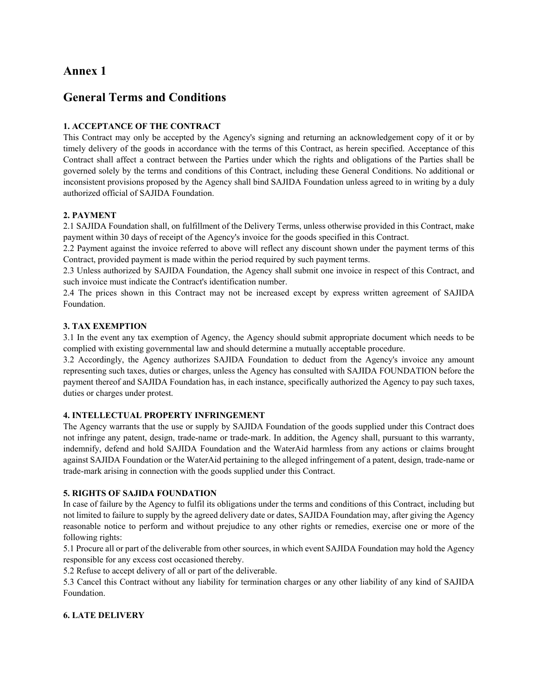## **Annex 1**

## **General Terms and Conditions**

### **1. ACCEPTANCE OF THE CONTRACT**

This Contract may only be accepted by the Agency's signing and returning an acknowledgement copy of it or by timely delivery of the goods in accordance with the terms of this Contract, as herein specified. Acceptance of this Contract shall affect a contract between the Parties under which the rights and obligations of the Parties shall be governed solely by the terms and conditions of this Contract, including these General Conditions. No additional or inconsistent provisions proposed by the Agency shall bind SAJIDA Foundation unless agreed to in writing by a duly authorized official of SAJIDA Foundation.

#### **2. PAYMENT**

2.1 SAJIDA Foundation shall, on fulfillment of the Delivery Terms, unless otherwise provided in this Contract, make payment within 30 days of receipt of the Agency's invoice for the goods specified in this Contract.

2.2 Payment against the invoice referred to above will reflect any discount shown under the payment terms of this Contract, provided payment is made within the period required by such payment terms.

2.3 Unless authorized by SAJIDA Foundation, the Agency shall submit one invoice in respect of this Contract, and such invoice must indicate the Contract's identification number.

2.4 The prices shown in this Contract may not be increased except by express written agreement of SAJIDA Foundation.

#### **3. TAX EXEMPTION**

3.1 In the event any tax exemption of Agency, the Agency should submit appropriate document which needs to be complied with existing governmental law and should determine a mutually acceptable procedure.

3.2 Accordingly, the Agency authorizes SAJIDA Foundation to deduct from the Agency's invoice any amount representing such taxes, duties or charges, unless the Agency has consulted with SAJIDA FOUNDATION before the payment thereof and SAJIDA Foundation has, in each instance, specifically authorized the Agency to pay such taxes, duties or charges under protest.

#### **4. INTELLECTUAL PROPERTY INFRINGEMENT**

The Agency warrants that the use or supply by SAJIDA Foundation of the goods supplied under this Contract does not infringe any patent, design, trade-name or trade-mark. In addition, the Agency shall, pursuant to this warranty, indemnify, defend and hold SAJIDA Foundation and the WaterAid harmless from any actions or claims brought against SAJIDA Foundation or the WaterAid pertaining to the alleged infringement of a patent, design, trade-name or trade-mark arising in connection with the goods supplied under this Contract.

#### **5. RIGHTS OF SAJIDA FOUNDATION**

In case of failure by the Agency to fulfil its obligations under the terms and conditions of this Contract, including but not limited to failure to supply by the agreed delivery date or dates, SAJIDA Foundation may, after giving the Agency reasonable notice to perform and without prejudice to any other rights or remedies, exercise one or more of the following rights:

5.1 Procure all or part of the deliverable from other sources, in which event SAJIDA Foundation may hold the Agency responsible for any excess cost occasioned thereby.

5.2 Refuse to accept delivery of all or part of the deliverable.

5.3 Cancel this Contract without any liability for termination charges or any other liability of any kind of SAJIDA Foundation.

#### **6. LATE DELIVERY**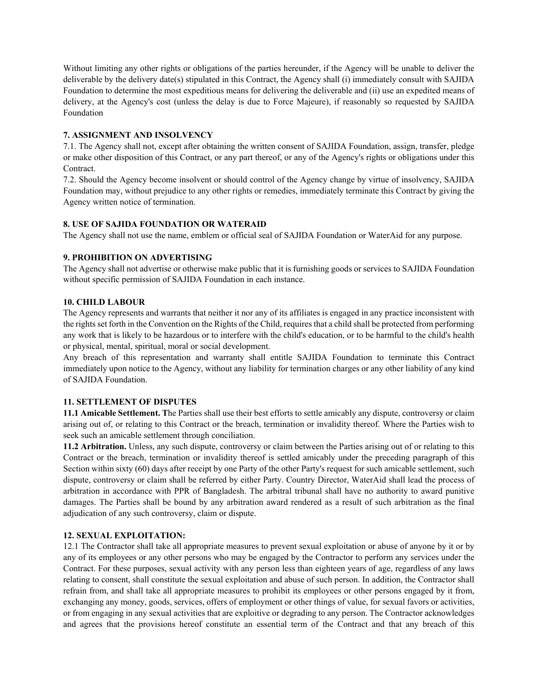Without limiting any other rights or obligations of the parties hereunder, if the Agency will be unable to deliver the deliverable by the delivery date(s) stipulated in this Contract, the Agency shall (i) immediately consult with SAJIDA Foundation to determine the most expeditious means for delivering the deliverable and (ii) use an expedited means of delivery, at the Agency's cost (unless the delay is due to Force Majeure), if reasonably so requested by SAJIDA Foundation

#### **7. ASSIGNMENT AND INSOLVENCY**

7.1. The Agency shall not, except after obtaining the written consent of SAJIDA Foundation, assign, transfer, pledge or make other disposition of this Contract, or any part thereof, or any of the Agency's rights or obligations under this Contract.

7.2. Should the Agency become insolvent or should control of the Agency change by virtue of insolvency, SAJIDA Foundation may, without prejudice to any other rights or remedies, immediately terminate this Contract by giving the Agency written notice of termination.

#### **8. USE OF SAJIDA FOUNDATION OR WATERAID**

The Agency shall not use the name, emblem or official seal of SAJIDA Foundation or WaterAid for any purpose.

#### **9. PROHIBITION ON ADVERTISING**

The Agency shall not advertise or otherwise make public that it is furnishing goods or services to SAJIDA Foundation without specific permission of SAJIDA Foundation in each instance.

#### **10. CHILD LABOUR**

The Agency represents and warrants that neither it nor any of its affiliates is engaged in any practice inconsistent with the rights set forth in the Convention on the Rights of the Child, requires that a child shall be protected from performing any work that is likely to be hazardous or to interfere with the child's education, or to be harmful to the child's health or physical, mental, spiritual, moral or social development.

Any breach of this representation and warranty shall entitle SAJIDA Foundation to terminate this Contract immediately upon notice to the Agency, without any liability for termination charges or any other liability of any kind of SAJIDA Foundation.

#### **11. SETTLEMENT OF DISPUTES**

**11.1 Amicable Settlement. T**he Parties shall use their best efforts to settle amicably any dispute, controversy or claim arising out of, or relating to this Contract or the breach, termination or invalidity thereof. Where the Parties wish to seek such an amicable settlement through conciliation.

**11.2 Arbitration.** Unless, any such dispute, controversy or claim between the Parties arising out of or relating to this Contract or the breach, termination or invalidity thereof is settled amicably under the preceding paragraph of this Section within sixty (60) days after receipt by one Party of the other Party's request for such amicable settlement, such dispute, controversy or claim shall be referred by either Party. Country Director, WaterAid shall lead the process of arbitration in accordance with PPR of Bangladesh. The arbitral tribunal shall have no authority to award punitive damages. The Parties shall be bound by any arbitration award rendered as a result of such arbitration as the final adjudication of any such controversy, claim or dispute.

#### **12. SEXUAL EXPLOITATION:**

12.1 The Contractor shall take all appropriate measures to prevent sexual exploitation or abuse of anyone by it or by any of its employees or any other persons who may be engaged by the Contractor to perform any services under the Contract. For these purposes, sexual activity with any person less than eighteen years of age, regardless of any laws relating to consent, shall constitute the sexual exploitation and abuse of such person. In addition, the Contractor shall refrain from, and shall take all appropriate measures to prohibit its employees or other persons engaged by it from, exchanging any money, goods, services, offers of employment or other things of value, for sexual favors or activities, or from engaging in any sexual activities that are exploitive or degrading to any person. The Contractor acknowledges and agrees that the provisions hereof constitute an essential term of the Contract and that any breach of this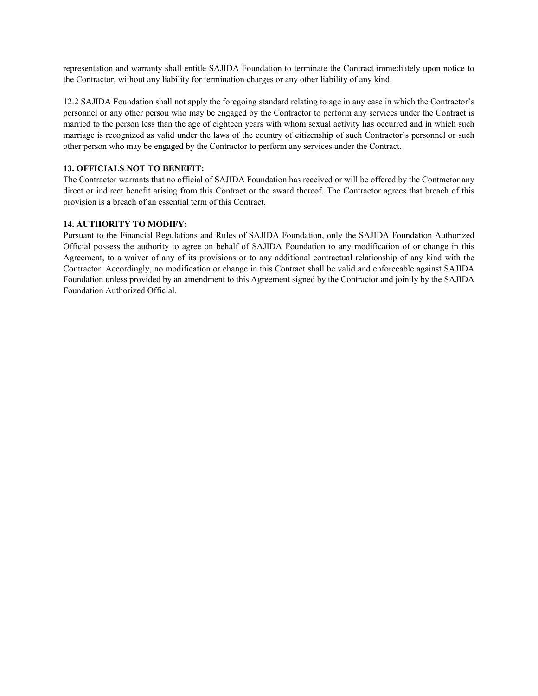representation and warranty shall entitle SAJIDA Foundation to terminate the Contract immediately upon notice to the Contractor, without any liability for termination charges or any other liability of any kind.

12.2 SAJIDA Foundation shall not apply the foregoing standard relating to age in any case in which the Contractor's personnel or any other person who may be engaged by the Contractor to perform any services under the Contract is married to the person less than the age of eighteen years with whom sexual activity has occurred and in which such marriage is recognized as valid under the laws of the country of citizenship of such Contractor's personnel or such other person who may be engaged by the Contractor to perform any services under the Contract.

#### **13. OFFICIALS NOT TO BENEFIT:**

The Contractor warrants that no official of SAJIDA Foundation has received or will be offered by the Contractor any direct or indirect benefit arising from this Contract or the award thereof. The Contractor agrees that breach of this provision is a breach of an essential term of this Contract.

#### **14. AUTHORITY TO MODIFY:**

Pursuant to the Financial Regulations and Rules of SAJIDA Foundation, only the SAJIDA Foundation Authorized Official possess the authority to agree on behalf of SAJIDA Foundation to any modification of or change in this Agreement, to a waiver of any of its provisions or to any additional contractual relationship of any kind with the Contractor. Accordingly, no modification or change in this Contract shall be valid and enforceable against SAJIDA Foundation unless provided by an amendment to this Agreement signed by the Contractor and jointly by the SAJIDA Foundation Authorized Official.